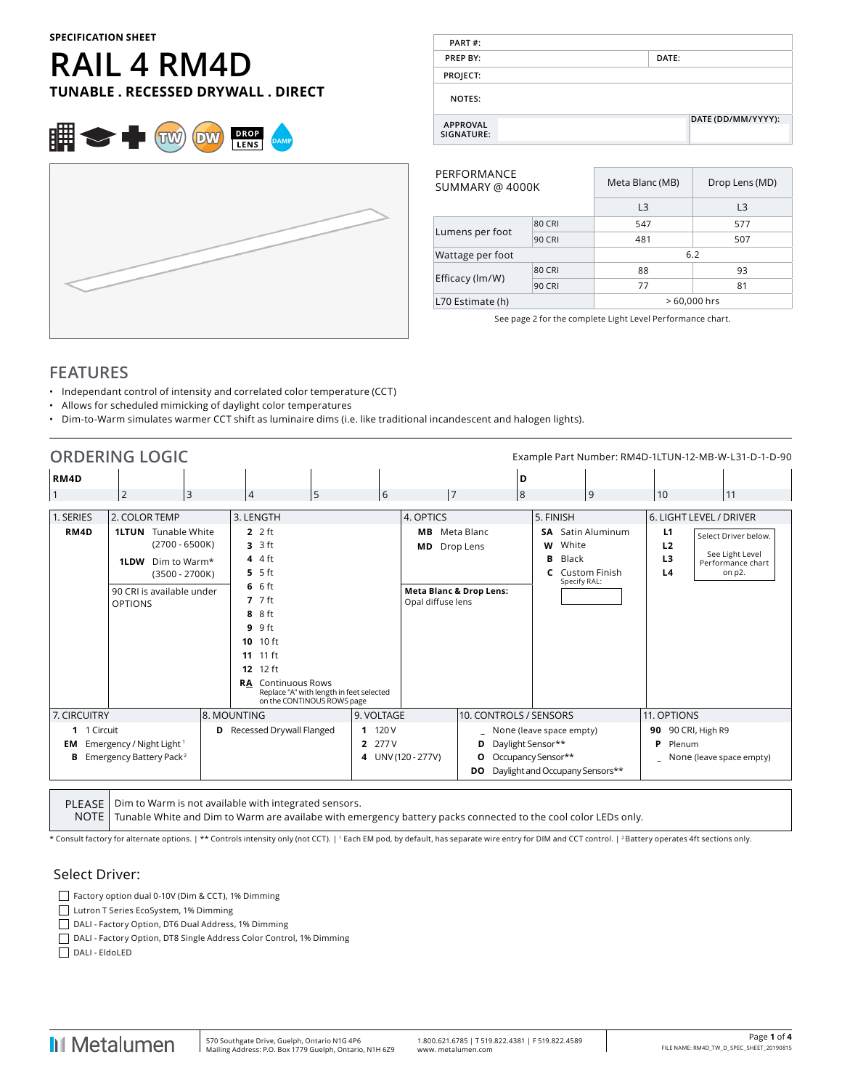#### **SPECIFICATION SHEET**

# **RAIL 4 RM4D TUNABLE . RECESSED DRYWALL . DIRECT**





| PART#:                        |                    |
|-------------------------------|--------------------|
| <b>PREP BY:</b>               | DATE:              |
| PROJECT:                      |                    |
| <b>NOTES:</b>                 |                    |
| <b>APPROVAL</b><br>SIGNATURE: | DATE (DD/MM/YYYY): |

| PERFORMANCE<br>SUMMARY @ 4000K |               | Meta Blanc (MB) | Drop Lens (MD) |  |  |  |
|--------------------------------|---------------|-----------------|----------------|--|--|--|
|                                |               | L <sub>3</sub>  | L <sub>3</sub> |  |  |  |
|                                | <b>80 CRI</b> | 547             | 577            |  |  |  |
| Lumens per foot                | <b>90 CRI</b> | 481             | 507            |  |  |  |
| Wattage per foot               |               | 6.2             |                |  |  |  |
|                                | <b>80 CRI</b> | 88              | 93             |  |  |  |
| Efficacy (lm/W)                | <b>90 CRI</b> | 77              | 81             |  |  |  |
| L70 Estimate (h)               |               | $>60,000$ hrs   |                |  |  |  |

See page 2 for the complete Light Level Performance chart.

## **FEATURES**

- Independant control of intensity and correlated color temperature (CCT)
- Allows for scheduled mimicking of daylight color temperatures
- Dim-to-Warm simulates warmer CCT shift as luminaire dims (i.e. like traditional incandescent and halogen lights).

|                                   | <b>ORDERING LOGIC</b>                                                                                                                 |                                                                         |                                                                                                     |                                                 |                                                         |                                                  |                                                            |                                                 |                                                    |                              | Example Part Number: RM4D-1LTUN-12-MB-W-L31-D-1-D-90                         |
|-----------------------------------|---------------------------------------------------------------------------------------------------------------------------------------|-------------------------------------------------------------------------|-----------------------------------------------------------------------------------------------------|-------------------------------------------------|---------------------------------------------------------|--------------------------------------------------|------------------------------------------------------------|-------------------------------------------------|----------------------------------------------------|------------------------------|------------------------------------------------------------------------------|
| RM4D<br>1. SERIES<br>RM4D         | $\overline{2}$<br>3<br>2. COLOR TEMP<br>Tunable White<br><b>1LTUN</b><br>$(2700 - 6500K)$<br>Dim to Warm*<br>1LDW<br>$(3500 - 2700K)$ | 4<br>3. LENGTH<br>$2.2$ ft<br>$3.3$ ft<br>$44$ 4 ft<br>$5.5$ ft<br>66   | 5                                                                                                   | 6                                               | 17<br>4. OPTICS<br>MВ<br>МD                             | D<br>8<br>Meta Blanc<br>Drop Lens                | 5. FINISH<br>White<br>W<br>в<br>Black<br>C<br>Specify RAL: | و <br><b>SA</b> Satin Aluminum<br>Custom Finish | 10<br>L1<br>L <sub>2</sub><br>L <sub>3</sub><br>L4 | 6. LIGHT LEVEL / DRIVER      | 11<br>Select Driver below.<br>See Light Level<br>Performance chart<br>on p2. |
|                                   | 90 CRI is available under<br><b>OPTIONS</b>                                                                                           | $7.7$ ft<br>8 8 ft<br>$9.9$ ft<br>10 10 ft<br>11 11 ft<br>$12$ ft<br>12 | <b>RA</b> Continuous Rows<br>Replace "A" with length in feet selected<br>on the CONTINOUS ROWS page |                                                 | <b>Meta Blanc &amp; Drop Lens:</b><br>Opal diffuse lens |                                                  |                                                            |                                                 |                                                    |                              |                                                                              |
| 7. CIRCUITRY<br>1 1 Circuit<br>EM | Emergency / Night Light 1                                                                                                             | 8. MOUNTING<br>Recessed Drywall Flanged<br>D                            |                                                                                                     | 9. VOLTAGE<br>11120V<br>277 V<br>$\overline{2}$ |                                                         | 10. CONTROLS / SENSORS<br>Daylight Sensor**<br>D | None (leave space empty)                                   |                                                 | 11. OPTIONS<br>P                                   | 90 90 CRI, High R9<br>Plenum |                                                                              |
|                                   | <b>B</b> Emergency Battery Pack <sup>2</sup>                                                                                          |                                                                         |                                                                                                     |                                                 | 4 UNV (120 - 277V)                                      | О<br>DO                                          | Occupancy Sensor**<br>Daylight and Occupany Sensors**      |                                                 |                                                    | None (leave space empty)     |                                                                              |

PLEASE NOTE Dim to Warm is not available with integrated sensors. Tunable White and Dim to Warm are availabe with emergency battery packs connected to the cool color LEDs only.

\* Consult factory for alternate options. | \*\* Controls intensity only (not CCT). | 1 Each EM pod, by default, has separate wire entry for DIM and CCT control. | 2 Battery operates 4ft sections only.

#### Select Driver:

Factory option dual 0-10V (Dim & CCT), 1% Dimming Lutron T Series EcoSystem, 1% Dimming

DALI - Factory Option, DT6 Dual Address, 1% Dimming

DALI - Factory Option, DT8 Single Address Color Control, 1% Dimming

DALI - EldoLED

**I**I Metalumen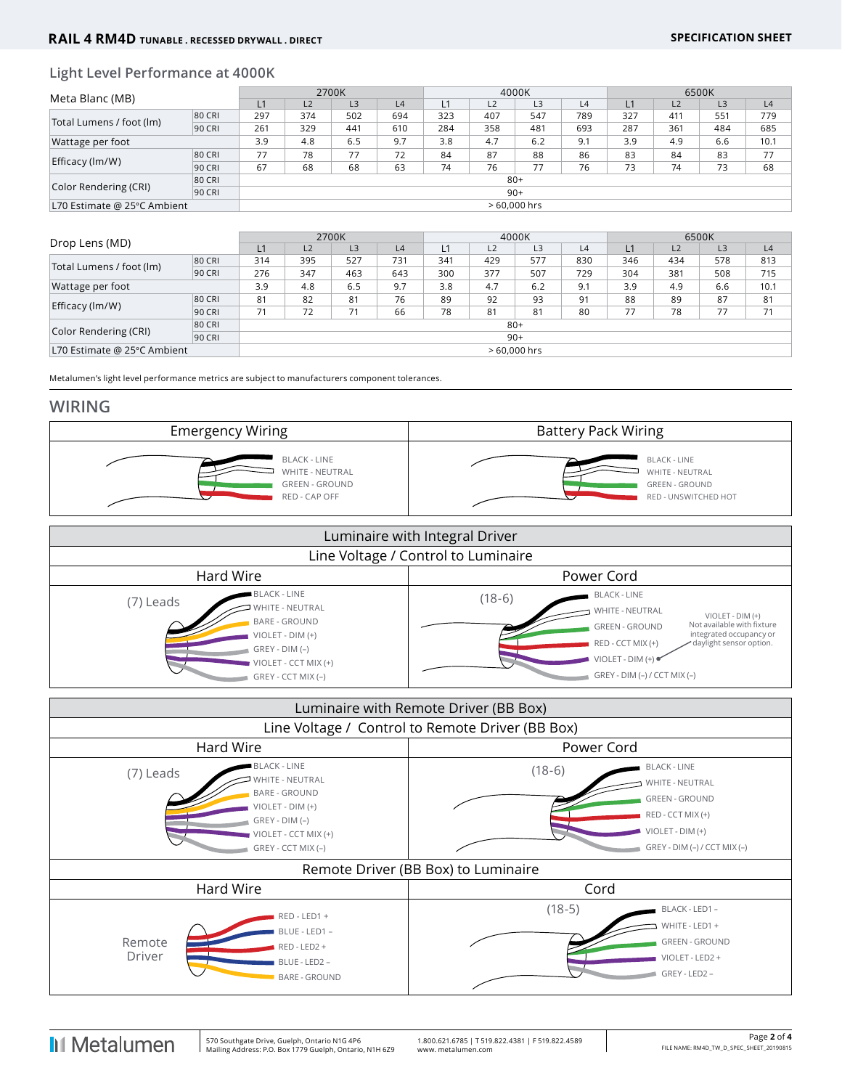### **Light Level Performance at 4000K**

| Meta Blanc (MB)             |        | 2700K         |     |                |     | 4000K |                |     |     | 6500K |     |                |      |
|-----------------------------|--------|---------------|-----|----------------|-----|-------|----------------|-----|-----|-------|-----|----------------|------|
|                             |        | L1            | L2  | L <sub>3</sub> | L4  |       | L <sub>2</sub> | L3  | L4  | L1    | L2  | L <sub>3</sub> | L4   |
| Total Lumens / foot (lm)    | 80 CRI | 297           | 374 | 502            | 694 | 323   | 407            | 547 | 789 | 327   | 411 | 551            | 779  |
|                             | 90 CRI | 261           | 329 | 441            | 610 | 284   | 358            | 481 | 693 | 287   | 361 | 484            | 685  |
| Wattage per foot            |        | 3.9           | 4.8 | 6.5            | 9.7 | 3.8   | 4.7            | 6.2 | 9.1 | 3.9   | 4.9 | 6.6            | 10.1 |
| Efficacy (lm/W)             | 80 CRI | 77            | 78  | 77             | 72  | 84    | 87             | 88  | 86  | 83    | 84  | 83             | 77   |
|                             | 90 CRI | 67            | 68  | 68             | 63  | 74    | 76             | 77  | 76  | 73    | 74  | 73             | 68   |
|                             | 80 CRI | $80+$         |     |                |     |       |                |     |     |       |     |                |      |
| Color Rendering (CRI)       | 90 CRI | $90+$         |     |                |     |       |                |     |     |       |     |                |      |
| L70 Estimate @ 25°C Ambient |        | $>60.000$ hrs |     |                |     |       |                |     |     |       |     |                |      |

| Drop Lens (MD)              |        | 2700K         |     |                |     | 4000K |                |     |     | 6500K |                |     |      |
|-----------------------------|--------|---------------|-----|----------------|-----|-------|----------------|-----|-----|-------|----------------|-----|------|
|                             |        | L1            | L2  | L <sub>3</sub> | L4  |       | L <sub>2</sub> | L3  | L4  | L1    | L <sub>2</sub> | L3  | L4   |
| Total Lumens / foot (lm)    | 80 CRI | 314           | 395 | 527            | 731 | 341   | 429            | 577 | 830 | 346   | 434            | 578 | 813  |
|                             | 90 CRI | 276           | 347 | 463            | 643 | 300   | 377            | 507 | 729 | 304   | 381            | 508 | 715  |
| Wattage per foot            |        | 3.9           | 4.8 | 6.5            | 9.7 | 3.8   | 4.7            | 6.2 | 9.1 | 3.9   | 4.9            | 6.6 | 10.1 |
|                             | 80 CRI | 81            | 82  | 81             | 76  | 89    | 92             | 93  | 91  | 88    | 89             | 87  | 81   |
| Efficacy (lm/W)             | 90 CRI | 71            | 72  | 71             | 66  | 78    | 81             | 81  | 80  | 77    | 78             | 77  | 71   |
| 80 CRI                      |        | $80+$         |     |                |     |       |                |     |     |       |                |     |      |
| Color Rendering (CRI)       | 90 CRI | $90+$         |     |                |     |       |                |     |     |       |                |     |      |
| L70 Estimate @ 25°C Ambient |        | $>60.000$ hrs |     |                |     |       |                |     |     |       |                |     |      |

Metalumen's light level performance metrics are subject to manufacturers component tolerances.

#### **WIRING**



| Luminaire with Integral Driver                                                                                                                                      |                                                                                                                                                                                                                                                                         |  |  |  |  |  |  |  |
|---------------------------------------------------------------------------------------------------------------------------------------------------------------------|-------------------------------------------------------------------------------------------------------------------------------------------------------------------------------------------------------------------------------------------------------------------------|--|--|--|--|--|--|--|
| Line Voltage / Control to Luminaire                                                                                                                                 |                                                                                                                                                                                                                                                                         |  |  |  |  |  |  |  |
| Hard Wire                                                                                                                                                           | Power Cord                                                                                                                                                                                                                                                              |  |  |  |  |  |  |  |
| <b>BLACK - LINE</b><br>(7) Leads<br>WHITE - NEUTRAL<br><b>BARE - GROUND</b><br>$VIOLET - DIM (+)$<br>$GREV - DIM (-)$<br>VIOLET - CCT MIX (+)<br>GREY - CCT MIX (-) | <b>BLACK - LINE</b><br>$(18-6)$<br><b>WHITE - NEUTRAL</b><br>$VIOLET - DIM (+)$<br>Not available with fixture<br><b>GREEN - GROUND</b><br>integrated occupancy or<br>RED - CCT MIX (+)<br>daylight sensor option.<br>VIOLET - DIM (+)<br>$GREV - DIM (-) / CCT MIX (-)$ |  |  |  |  |  |  |  |

|                                                  | Luminaire with Remote Driver (BB Box)                                                                                                                |                                     |                                                                                                                                            |  |  |  |  |  |  |
|--------------------------------------------------|------------------------------------------------------------------------------------------------------------------------------------------------------|-------------------------------------|--------------------------------------------------------------------------------------------------------------------------------------------|--|--|--|--|--|--|
| Line Voltage / Control to Remote Driver (BB Box) |                                                                                                                                                      |                                     |                                                                                                                                            |  |  |  |  |  |  |
|                                                  | Hard Wire                                                                                                                                            | Power Cord                          |                                                                                                                                            |  |  |  |  |  |  |
| (7) Leads                                        | <b>BLACK - LINE</b><br>WHITE - NEUTRAL<br><b>BARE - GROUND</b><br>VIOLET - DIM (+)<br>$GREV - DIM (-)$<br>VIOLET - CCT MIX (+)<br>GREY - CCT MIX (-) | $(18-6)$                            | <b>BLACK - LINE</b><br>WHITE - NEUTRAL<br><b>GREEN - GROUND</b><br>RED - CCT MIX (+)<br>VIOLET - DIM (+)<br>$GREV - DIM (-) / CCT MIX (-)$ |  |  |  |  |  |  |
|                                                  |                                                                                                                                                      | Remote Driver (BB Box) to Luminaire |                                                                                                                                            |  |  |  |  |  |  |
|                                                  | Hard Wire                                                                                                                                            | Cord                                |                                                                                                                                            |  |  |  |  |  |  |
| Remote<br>Driver                                 | RED - LED1 +<br>BLUE - LED1 -<br>RED - LED2 +<br>BLUE - LED2 -<br><b>BARE - GROUND</b>                                                               | $(18-5)$                            | BLACK - LED1 -<br>WHITE - LED1 +<br><b>GREEN - GROUND</b><br>VIOLET - LED2 +<br>GREY - LED2 -                                              |  |  |  |  |  |  |

 $\overline{1}$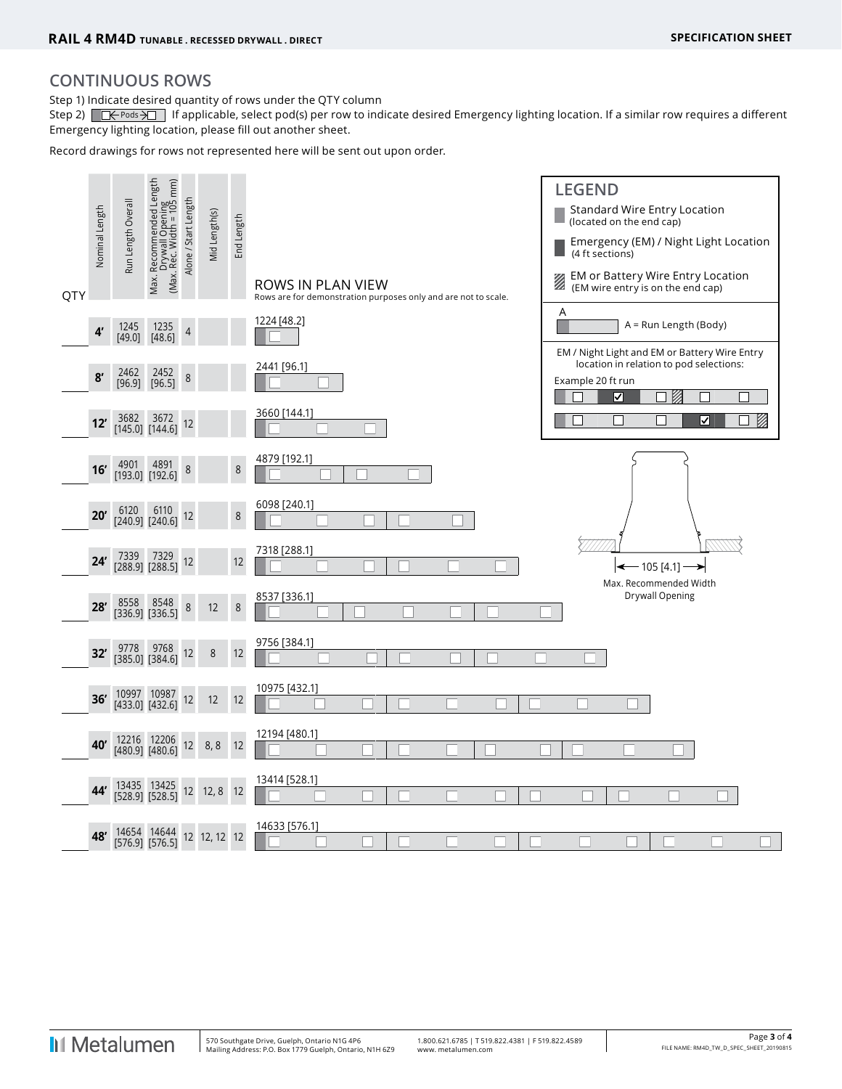## **CONTINUOUS ROWS**

Step 1) Indicate desired quantity of rows under the QTY column

Step 2)  $\Box \leftrightarrow \Box$  If applicable, select pod(s) per row to indicate desired Emergency lighting location. If a similar row requires a different Emergency lighting location, please fill out another sheet.

Record drawings for rows not represented here will be sent out upon order.